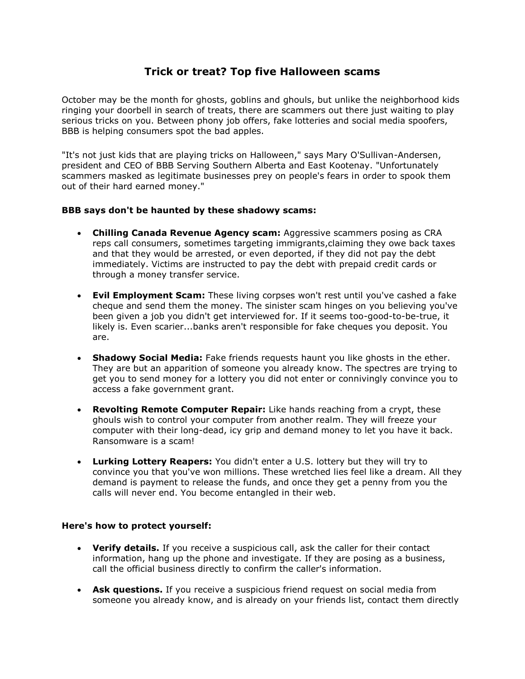## **Trick or treat? Top five Halloween scams**

October may be the month for ghosts, goblins and ghouls, but unlike the neighborhood kids ringing your doorbell in search of treats, there are scammers out there just waiting to play serious tricks on you. Between phony job offers, fake lotteries and social media spoofers, BBB is helping consumers spot the bad apples.

"It's not just kids that are playing tricks on Halloween," says Mary O'Sullivan-Andersen, president and CEO of BBB Serving Southern Alberta and East Kootenay. "Unfortunately scammers masked as legitimate businesses prey on people's fears in order to spook them out of their hard earned money."

## **BBB says don't be haunted by these shadowy scams:**

- **Chilling Canada Revenue Agency scam:** Aggressive scammers posing as CRA reps call consumers, sometimes targeting immigrants,claiming they owe back taxes and that they would be arrested, or even deported, if they did not pay the debt immediately. Victims are instructed to pay the debt with prepaid credit cards or through a money transfer service.
- **Evil Employment Scam:** These living corpses won't rest until you've cashed a fake cheque and send them the money. The sinister scam hinges on you believing you've been given a job you didn't get interviewed for. If it seems too-good-to-be-true, it likely is. Even scarier...banks aren't responsible for fake cheques you deposit. You are.
- **Shadowy Social Media:** Fake friends requests haunt you like ghosts in the ether. They are but an apparition of someone you already know. The spectres are trying to get you to send money for a lottery you did not enter or connivingly convince you to access a fake government grant.
- **Revolting Remote Computer Repair:** Like hands reaching from a crypt, these ghouls wish to control your computer from another realm. They will freeze your computer with their long-dead, icy grip and demand money to let you have it back. Ransomware is a scam!
- **Lurking Lottery Reapers:** You didn't enter a U.S. lottery but they will try to convince you that you've won millions. These wretched lies feel like a dream. All they demand is payment to release the funds, and once they get a penny from you the calls will never end. You become entangled in their web.

## **Here's how to protect yourself:**

- **Verify details.** If you receive a suspicious call, ask the caller for their contact information, hang up the phone and investigate. If they are posing as a business, call the official business directly to confirm the caller's information.
- **Ask questions.** If you receive a suspicious friend request on social media from someone you already know, and is already on your friends list, contact them directly